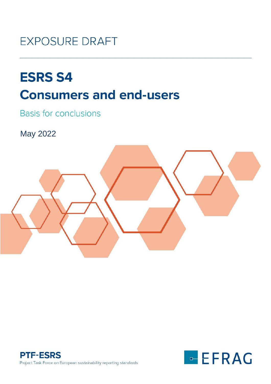## **EXPOSURE DRAFT**

# **ESRS S4 Consumers and end-users**

**Basis for conclusions** 

May 2022





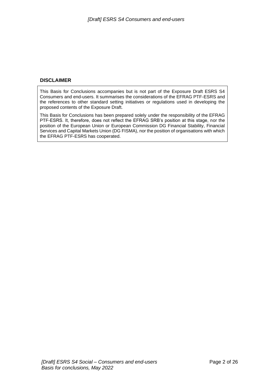#### **DISCLAIMER**

This Basis for Conclusions accompanies but is not part of the Exposure Draft ESRS S4 Consumers and end-users. It summarises the considerations of the EFRAG PTF-ESRS and the references to other standard setting initiatives or regulations used in developing the proposed contents of the Exposure Draft.

This Basis for Conclusions has been prepared solely under the responsibility of the EFRAG PTF-ESRS. It, therefore, does not reflect the EFRAG SRB's position at this stage, nor the position of the European Union or European Commission DG Financial Stability, Financial Services and Capital Markets Union (DG FISMA), nor the position of organisations with which the EFRAG PTF-ESRS has cooperated.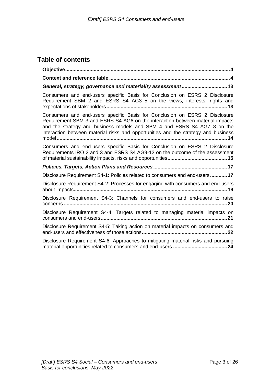### **Table of contents**

| General, strategy, governance and materiality assessment 13                                                                                                                                                                                                                                                                  |
|------------------------------------------------------------------------------------------------------------------------------------------------------------------------------------------------------------------------------------------------------------------------------------------------------------------------------|
| Consumers and end-users specific Basis for Conclusion on ESRS 2 Disclosure<br>Requirement SBM 2 and ESRS S4 AG3-5 on the views, interests, rights and                                                                                                                                                                        |
| Consumers and end-users specific Basis for Conclusion on ESRS 2 Disclosure<br>Requirement SBM 3 and ESRS S4 AG6 on the interaction between material impacts<br>and the strategy and business models and SBM 4 and ESRS S4 AG7-8 on the<br>interaction between material risks and opportunities and the strategy and business |
| Consumers and end-users specific Basis for Conclusion on ESRS 2 Disclosure<br>Requirements IRO 2 and 3 and ESRS S4 AG9-12 on the outcome of the assessment                                                                                                                                                                   |
|                                                                                                                                                                                                                                                                                                                              |
| Disclosure Requirement S4-1: Policies related to consumers and end-users 17                                                                                                                                                                                                                                                  |
| Disclosure Requirement S4-2: Processes for engaging with consumers and end-users                                                                                                                                                                                                                                             |
| Disclosure Requirement S4-3: Channels for consumers and end-users to raise                                                                                                                                                                                                                                                   |
| Disclosure Requirement S4-4: Targets related to managing material impacts on                                                                                                                                                                                                                                                 |
| Disclosure Requirement S4-5: Taking action on material impacts on consumers and                                                                                                                                                                                                                                              |
| Disclosure Requirement S4-6: Approaches to mitigating material risks and pursuing                                                                                                                                                                                                                                            |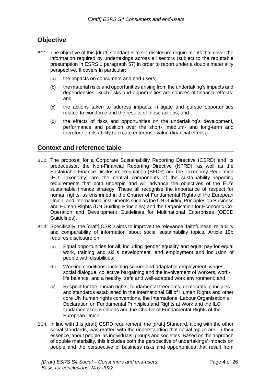#### <span id="page-3-0"></span>**Objective**

- BC1. The objective of this [draft] standard is to set disclosure requirements that cover the information required by undertakings across all sectors (subject to the rebuttable presumption in ESRS 1 paragraph 57) in order to report under a double materiality perspective. It covers in particular:
	- (a) the impacts on consumers and end-users;
	- (b) the material risks and opportunities arising from the undertaking's impacts and dependencies. Such risks and opportunities are sources of financial effects; and
	- (c) the actions taken to address impacts, mitigate and pursue opportunities related to workforce and the results of those actions; and
	- (d) the effects of risks and opportunities on the undertaking's development, performance and position over the short-, medium- and long-term and therefore on its ability to create enterprise value (financial effects)

#### <span id="page-3-1"></span>**Context and reference table**

- BC2. The proposal for a Corporate Sustainability Reporting Directive (CSRD) and its predecessor, the Non-Financial Reporting Directive (NFRD), as well as the Sustainable Finance Disclosure Regulation (SFDR) and the Taxonomy Regulation (EU Taxonomy) are the central components of the sustainability reporting requirements that both underpin and will advance the objectives of the EU's sustainable finance strategy. These all recognise the importance of respect for human rights, as enshrined in the Charter of Fundamental Rights of the European Union, and international instruments such as the UN Guiding Principles on Business and Human Rights (UN Guiding Principles) and the Organisation for Economic Co-Operation and Development Guidelines for Multinational Enterprises (OECD Guidelines).
- BC3. Specifically, the [draft] CSRD aims to improve the relevance, faithfulness, reliability and comparability of information about social sustainability topics. Article 19b requires disclosure on:
	- (a) Equal opportunities for all, including gender equality and equal pay for equal work, training and skills development, and employment and inclusion of people with disabilities;
	- (b) Working conditions, including secure and adaptable employment, wages, social dialogue, collective bargaining and the involvement of workers, worklife balance, and a healthy, safe and well-adapted work environment; and
	- (c) Respect for the human rights, fundamental freedoms, democratic principles and standards established in the International Bill of Human Rights and other core UN human rights conventions, the International Labour Organisation's Declaration on Fundamental Principles and Rights at Work and the ILO fundamental conventions and the Charter of Fundamental Rights of the European Union.
- BC4. In line with this [draft] CSRD requirement, the [draft] Standard, along with the other social standards, was drafted with the understanding that social topics are, in their essence, about people, as individuals, groups and societies. Based on the approach of double materiality, this includes both the perspective of undertakings' impacts on people and the perspective of business risks and opportunities that result from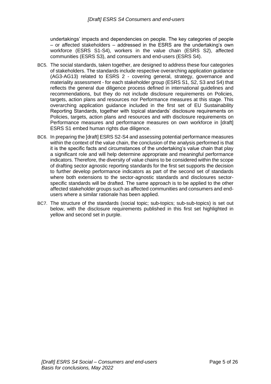undertakings' impacts and dependencies on people. The key categories of people – or affected stakeholders – addressed in the ESRS are the undertaking's own workforce (ESRS S1-S4), workers in the value chain (ESRS S2), affected communities (ESRS S3), and consumers and end-users (ESRS S4).

- BC5. The social standards, taken together, are designed to address these four categories of stakeholders. The standards include respective overarching application guidance (AG3-AG13) related to ESRS 2 - covering general, strategy, governance and materiality assessment - for each stakeholder group (ESRS S1, S2, S3 and S4) that reflects the general due diligence process defined in international guidelines and recommendations, but they do not include disclosure requirements on Policies, targets, action plans and resources nor Performance measures at this stage. This overarching application guidance included in the first set of EU Sustainability Reporting Standards, together with topical standards' disclosure requirements on Policies, targets, action plans and resources and with disclosure requirements on Performance measures and performance measures on own workforce in [draft] ESRS S1 embed human rights due diligence.
- BC6. In preparing the [draft] ESRS S2-S4 and assessing potential performance measures within the context of the value chain, the conclusion of the analysis performed is that it is the specific facts and circumstances of the undertaking's value chain that play a significant role and will help determine appropriate and meaningful performance indicators. Therefore, the diversity of value chains to be considered within the scope of drafting sector agnostic reporting standards for the first set supports the decision to further develop performance indicators as part of the second set of standards where both extensions to the sector-agnostic standards and disclosures sectorspecific standards will be drafted. The same approach is to be applied to the other affected stakeholder groups such as affected communities and consumers and endusers where a similar rationale has been applied.
- BC7. The structure of the standards (social topic; sub-topics; sub-sub-topics) is set out below, with the disclosure requirements published in this first set highlighted in yellow and second set in purple.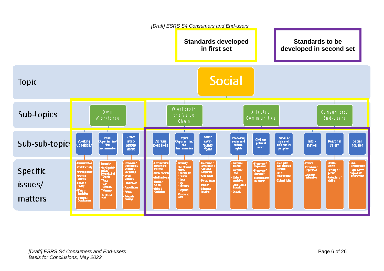#### *[Draft] ESRS S4 Consumers and End-users* **Standards developed Standards to be in first set developed in second set Social Topic** Affected  $0 w n$ Sub-topics the Value W orkforce Communities End-users Chain T. ∓ ∓ ∓ -1 ℸ ≖ ≖ ∓ ∓ اaual<br>Opportunifies/ Other اau<mark>al</mark><br>/Opportunifies **Other** Economic<br>Social and Paricular<br>rights of<br>indigenous **Civil and** Working<br>Conditions Social work-**Working** work-Infor-**Personal** Sub-sub-topics political **authornal Inclusion** Nonrelated **Conditions** Nonrelated mation safety rights notamination nofaminació rights rights rights. peoples :<br>Remuneralis<br>Incorre)<br>Incorre) Freedom of<br>Recordation<br>Collective<br>Exgaining - Remuneration Freedom o l'<br>Association a<br>Collective -Adequate<br>- housing -<br>Free, prior<br>and in brmed Privacy **nequality** hequality Freedom o f<br>Expression -Health &<br>Sia May · Non-<br>D Expirminatio Non-Dischmi-<br>mation/<br>Diversity, Ind.<br>"Gender Non-Discrimination<br>mation/<br>Diversity, Inci<br>"Gender Social security -Freedomo!<br>Expression **Specific CONTENT** -Adequate<br>- bod Security of Equal access Freedom of<br>Assembly **Bargaining** -Working hours aer<br>determination Social securi person to products<br>and services -<br>30dal<br>Dialogue -Accessio<br>- In brreiton - Child Inbour -Morb-life<br>- belience **Working hours** Minter &<br>maticulon : Human Rights<br>: Die Enders -Protection of<br>children **Race** Forced Inbou **Cultural rights** "Rece Health &<br>Sailsty issues/ -Health &<br>Sailty - Child Inbou "Age<br>"Dissbilly "Age<br>"Disability - Priuscy Land-related<br>Impacts - Forced Inbor **Mater 3**<br>Sanitalion - Adequate<br>- housing -Maler 3<br>Sanitation "Mgrants "Mgranis - Privacy **Security** Precipious<br>**vorit** - Receitous<br>**vort** - Adequate<br>- housing matters **Training &<br>Development**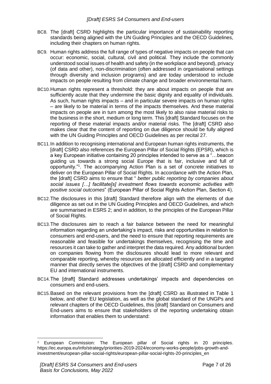- BC8. The [draft] CSRD highlights the particular importance of sustainability reporting standards being aligned with the UN Guiding Principles and the OECD Guidelines, including their chapters on human rights.
- BC9. Human rights address the full range of types of negative impacts on people that can occur: economic, social, cultural, civil and political. They include the commonly understood social issues of health and safety (in the workplace and beyond), privacy (of data and other), non-discrimination (often addressed in organisational settings through diversity and inclusion programs) and are today understood to include impacts on people resulting from climate change and broader environmental harm.
- BC10.Human rights represent a threshold: they are about impacts on people that are sufficiently acute that they undermine the basic dignity and equality of individuals. As such, human rights impacts – and in particular severe impacts on human rights – are likely to be material in terms of the impacts themselves. And these material impacts on people are in turn among the most likely to also raise material risks to the business in the short, medium or long term. This [draft] Standard focuses on the reporting of these material impacts and/or material risks. The [draft] CSRD also makes clear that the content of reporting on due diligence should be fully aligned with the UN Guiding Principles and OECD Guidelines as per recital 27.
- BC11.In addition to recognising international and European human rights instruments, the [draft] CSRD also references the European Pillar of Social Rights (EPSR), which is a key European initiative containing 20 principles intended to serve as a "…beacon guiding us towards a strong social Europe that is fair, inclusive and full of opportunity."<sup>1</sup> . The accompanying Action Plan is a set of concrete initiatives to deliver on the European Pillar of Social Rights. In accordance with the Action Plan, the [draft] CSRD aims to ensure that " *better public reporting by companies about social issues […] facilitate[s] investment flows towards economic activities with positive social outcomes*" (European Pillar of Social Rights Action Plan, Section 4).
- BC12.The disclosures in this [draft] Standard therefore align with the elements of due diligence as set out in the UN Guiding Principles and OECD Guidelines, and which are summarised in ESRS 2; and in addition, to the principles of the European Pillar of Social Rights.
- BC13.The disclosures aim to reach a fair balance between the need for meaningful information regarding an undertaking's impact, risks and opportunities in relation to consumers and end-users, and the need to ensure that reporting requirements are reasonable and feasible for undertakings themselves, recognising the time and resources it can take to gather and interpret the data required. Any additional burden on companies flowing from the disclosures should lead to more relevant and comparable reporting, whereby resources are allocated efficiently and in a targeted manner that directly serves the objectives of the [draft] CSRD and complementary EU and international instruments.
- BC14.The [draft] Standard addresses undertakings' impacts and dependencies on consumers and end-users.
- BC15.Based on the relevant provisions from the [draft] CSRD as illustrated in Table 1 below, and other EU legislation, as well as the global standard of the UNGPs and relevant chapters of the OECD Guidelines, this [draft] Standard on Consumers and End-users aims to ensure that stakeholders of the reporting undertaking obtain information that enables them to understand:

<sup>1</sup> European Commission: The European pillar of Social rights in 20 principles. https://ec.europa.eu/info/strategy/priorities-2019-2024/economy-works-people/jobs-growth-andinvestment/european-pillar-social-rights/european-pillar-social-rights-20-principles\_en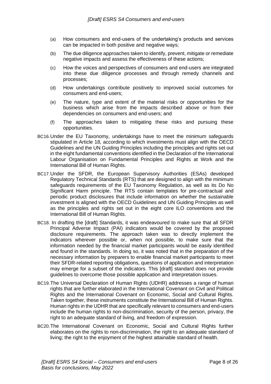- (a) How consumers and end-users of the undertaking's products and services can be impacted in both positive and negative ways;
- (b) The due diligence approaches taken to identify, prevent, mitigate or remediate negative impacts and assess the effectiveness of these actions;
- (c) How the voices and perspectives of consumers and end-users are integrated into these due diligence processes and through remedy channels and processes;
- (d) How undertakings contribute positively to improved social outcomes for consumers and end-users;
- (e) The nature, type and extent of the material risks or opportunities for the business which arise from the impacts described above or from their dependencies on consumers and end-users; and
- (f) The approaches taken to mitigating these risks and pursuing these opportunities.
- BC16.Under the EU Taxonomy, undertakings have to meet the minimum safeguards stipulated in Article 18, according to which investments must align with the OECD Guidelines and the UN Guiding Principles including the principles and rights set out in the eight fundamental conventions identified in the Declaration of the International Labour Organisation on Fundamental Principles and Rights at Work and the International Bill of Human Rights.
- BC17.Under the SFDR, the European Supervisory Authorities (ESAs) developed Regulatory Technical Standards (RTS) that are designed to align with the minimum safeguards requirements of the EU Taxonomy Regulation, as well as its Do No Significant Harm principle. The RTS contain templates for pre-contractual and periodic product disclosures that include information on whether the sustainable investment is aligned with the OECD Guidelines and UN Guiding Principles as well as the principles and rights set out in the eight core ILO conventions and the International Bill of Human Rights.
- BC18. In drafting the [draft] Standards, it was endeavoured to make sure that all SFDR Principal Adverse Impact (PAI) indicators would be covered by the proposed disclosure requirements. The approach taken was to directly implement the indicators wherever possible or, when not possible, to make sure that the information needed by the financial market participants would be easily identified and found in the standards. In doing so, it was noted that in the preparation of the necessary information by preparers to enable financial market participants to meet their SFDR-related reporting obligations, questions of application and interpretation may emerge for a subset of the indicators. This [draft] standard does not provide guidelines to overcome those possible application and interpretation issues.
- BC19.The Universal Declaration of Human Rights (UDHR) addresses a range of human rights that are further elaborated in the International Covenant on Civil and Political Rights and the International Covenant on Economic, Social and Cultural Rights. Taken together, these instruments constitute the International Bill of Human Rights. Human rights in the UDHR that are specifically relevant to consumers and end-users include the human rights to non-discrimination, security of the person, privacy, the right to an adequate standard of living, and freedom of expression.
- BC20.The International Covenant on Economic, Social and Cultural Rights further elaborates on the rights to non-discrimination, the right to an adequate standard of living; the right to the enjoyment of the highest attainable standard of health.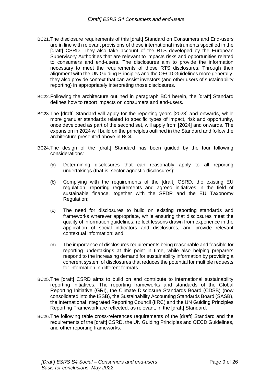- BC21.The disclosure requirements of this [draft] Standard on Consumers and End-users are in line with relevant provisions of these international instruments specified in the [draft] CSRD. They also take account of the RTS developed by the European Supervisory Authorities that are relevant to impacts risks and opportunities related to consumers and end-users. The disclosures aim to provide the information necessary to meet the requirements of those RTS disclosures. Through their alignment with the UN Guiding Principles and the OECD Guidelines more generally, they also provide context that can assist investors (and other users of sustainability reporting) in appropriately interpreting those disclosures.
- BC22.Following the architecture outlined in paragraph BC4 herein, the [draft] Standard defines how to report impacts on consumers and end-users.
- BC23.The [draft] Standard will apply for the reporting years [2023] and onwards, while more granular standards related to specific types of impact, risk and opportunity, once developed as part of the second set, will apply from [2024] and onwards. The expansion in 2024 will build on the principles outlined in the Standard and follow the architecture presented above in BC4.
- BC24.The design of the [draft] Standard has been guided by the four following considerations:
	- (a) Determining disclosures that can reasonably apply to all reporting undertakings (that is, sector-agnostic disclosures);
	- (b) Complying with the requirements of the [draft] CSRD, the existing EU regulation, reporting requirements and agreed initiatives in the field of sustainable finance, together with the SFDR and the EU Taxonomy Regulation;
	- (c) The need for disclosures to build on existing reporting standards and frameworks wherever appropriate, while ensuring that disclosures meet the quality of information guidelines, reflect lessons drawn from experience in the application of social indicators and disclosures, and provide relevant contextual information; and
	- (d) The importance of disclosures requirements being reasonable and feasible for reporting undertakings at this point in time, while also helping preparers respond to the increasing demand for sustainability information by providing a coherent system of disclosures that reduces the potential for multiple requests for information in different formats.
- BC25.The [draft] CSRD aims to build on and contribute to international sustainability reporting initiatives. The reporting frameworks and standards of the Global Reporting Initiative (GRI), the Climate Disclosure Standards Board (CDSB) (now consolidated into the ISSB), the Sustainability Accounting Standards Board (SASB), the International Integrated Reporting Council (IIRC) and the UN Guiding Principles Reporting Framework are reflected, as relevant, in the [draft] Standard.
- BC26.The following table cross-references requirements of the [draft] Standard and the requirements of the [draft] CSRD, the UN Guiding Principles and OECD Guidelines, and other reporting frameworks.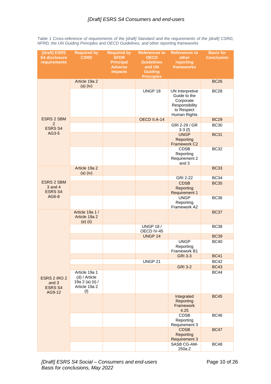| [draft] ESRS<br><b>S4 disclosure</b><br>requirements | <b>Required by</b><br><b>CSRD</b>                                          | <b>Required by</b><br><b>SFDR</b><br><b>Principal</b><br><b>Adverse</b><br><b>Impacts</b> | <b>References to</b><br><b>OECD</b><br><b>Guidelines</b><br>and UN<br><b>Guiding</b><br><b>Principles</b> | <b>References to</b><br>other<br>reporting<br>frameworks                                     | <b>Basis for</b><br><b>Conclusion</b> |
|------------------------------------------------------|----------------------------------------------------------------------------|-------------------------------------------------------------------------------------------|-----------------------------------------------------------------------------------------------------------|----------------------------------------------------------------------------------------------|---------------------------------------|
|                                                      | Article 19a 2<br>$(a)$ (iv)                                                |                                                                                           |                                                                                                           |                                                                                              | <b>BC26</b>                           |
|                                                      |                                                                            |                                                                                           | UNGP 18                                                                                                   | UN Interpretive<br>Guide to the<br>Corporate<br>Responsibility<br>to Respect<br>Human Rights | <b>BC28</b>                           |
| <b>ESRS 2 SBM</b>                                    |                                                                            |                                                                                           | OECD II.A-14                                                                                              |                                                                                              | <b>BC29</b>                           |
| 2<br><b>ESRS S4</b><br>AG3-5                         |                                                                            |                                                                                           |                                                                                                           | GRI 2-29 / GR<br>$3-3(f)$                                                                    | <b>BC30</b>                           |
|                                                      |                                                                            |                                                                                           |                                                                                                           | <b>UNGP</b><br><b>Reporting</b><br>Framework C2                                              | <b>BC31</b>                           |
|                                                      |                                                                            |                                                                                           |                                                                                                           | <b>CDSB</b><br>Reporting<br>Requirement 2<br>and 3                                           | <b>BC32</b>                           |
|                                                      | Article 19a 2<br>$(a)$ (iv)                                                |                                                                                           |                                                                                                           |                                                                                              | <b>BC33</b>                           |
|                                                      |                                                                            |                                                                                           |                                                                                                           | GRI 2-22                                                                                     | <b>BC34</b>                           |
| <b>ESRS 2 SBM</b><br>$3$ and $4$<br><b>ESRS S4</b>   |                                                                            |                                                                                           |                                                                                                           | <b>CDSB</b><br><b>Reporting</b><br><b>Requirement 1</b>                                      | <b>BC35</b>                           |
| AG6-8                                                |                                                                            |                                                                                           |                                                                                                           | <b>UNGP</b><br>Reporting<br>Framework A2                                                     | <b>BC36</b>                           |
|                                                      | Article 19a 1 /<br>Article 19a 2<br>$(e)$ (ii)                             |                                                                                           |                                                                                                           |                                                                                              | <b>BC37</b>                           |
|                                                      |                                                                            |                                                                                           | <b>UNGP 18/</b><br>OECD IV-45                                                                             |                                                                                              | <b>BC38</b>                           |
|                                                      |                                                                            |                                                                                           | UNGP 24                                                                                                   |                                                                                              | <b>BC39</b>                           |
|                                                      |                                                                            |                                                                                           |                                                                                                           | <b>UNGP</b><br>Reporting<br>Framework B1                                                     | <b>BC40</b>                           |
|                                                      |                                                                            |                                                                                           |                                                                                                           | <b>GRI 3-3</b>                                                                               | <b>BC41</b>                           |
|                                                      |                                                                            |                                                                                           | UNGP 21                                                                                                   |                                                                                              | <b>BC42</b>                           |
| ESRS 2 IRO 2<br>and 3<br><b>ESRS S4</b><br>AG9-12    |                                                                            |                                                                                           |                                                                                                           | <b>GRI 3-2</b>                                                                               | <b>BC43</b>                           |
|                                                      | Article 19a 1<br>(d) / Article<br>19a 2 (a) (ii) /<br>Article 19a 2<br>(f) |                                                                                           |                                                                                                           |                                                                                              | <b>BC44</b>                           |
|                                                      |                                                                            |                                                                                           |                                                                                                           | Integrated<br><b>Reporting</b><br>Framework<br>4.25                                          | <b>BC45</b>                           |
|                                                      |                                                                            |                                                                                           |                                                                                                           | <b>CDSB</b><br>Reporting<br>Requirement 3                                                    | <b>BC46</b>                           |
|                                                      |                                                                            |                                                                                           |                                                                                                           | <b>CDSB</b><br>Reporting<br><b>Requirement 3</b>                                             | <b>BC47</b>                           |
|                                                      |                                                                            |                                                                                           |                                                                                                           | SASB CG-AM-<br>250a.2                                                                        | <b>BC48</b>                           |

*Table 1 Cross-reference of requirements of the [draft] Standard and the requirements of the [draft] CSRD, NFRD, the UN Guiding Principles and OECD Guidelines, and other reporting frameworks*

*[Draft] ESRS S4 Social – Consumers and end-users Basis for conclusions, May 2022*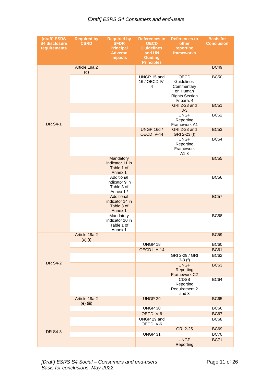#### *[Draft] ESRS S4 Consumers and end-users*

| [draft] ESRS<br><b>S4 disclosure</b><br>requirements | <b>Required by</b><br><b>CSRD</b> | <b>Required by</b><br><b>SFDR</b><br><b>Principal</b><br><b>Adverse</b><br><b>Impacts</b> | <b>References to</b><br><b>OECD</b><br><b>Guidelines</b><br>and UN<br><b>Guiding</b><br><b>Principles</b> | <b>References to</b><br>other<br>reporting<br>frameworks                             | <b>Basis for</b><br><b>Conclusion</b> |
|------------------------------------------------------|-----------------------------------|-------------------------------------------------------------------------------------------|-----------------------------------------------------------------------------------------------------------|--------------------------------------------------------------------------------------|---------------------------------------|
|                                                      | Article 19a 2<br>(d)              |                                                                                           |                                                                                                           |                                                                                      | <b>BC49</b>                           |
|                                                      |                                   |                                                                                           | UNGP 15 and<br>16 / OECD IV-<br>4                                                                         | OECD<br>Guidelines'<br>Commentary<br>on Human<br><b>Rights Section</b><br>IV para. 4 | <b>BC50</b>                           |
|                                                      |                                   |                                                                                           |                                                                                                           | <b>GRI 2-23 and</b><br>$3 - 3$                                                       | <b>BC51</b>                           |
| <b>DR S4-1</b>                                       |                                   |                                                                                           |                                                                                                           | <b>UNGP</b><br>Reporting<br>Framework A1                                             | <b>BC52</b>                           |
|                                                      |                                   |                                                                                           | <b>UNGP 16d /</b><br>OECD IV-44                                                                           | GRI 2-23 and<br>GRI 2-23 (f)                                                         | <b>BC53</b>                           |
|                                                      |                                   |                                                                                           |                                                                                                           | <b>UNGP</b><br>Reporting<br>Framework<br>A1.3                                        | <b>BC54</b>                           |
|                                                      |                                   | Mandatory<br>indicator 11 in<br>Table 1 of<br>Annex 1                                     |                                                                                                           |                                                                                      | <b>BC55</b>                           |
|                                                      |                                   | Additional<br>indicator 9 in<br>Table 3 of<br>Annex 1 /                                   |                                                                                                           |                                                                                      | <b>BC56</b>                           |
|                                                      |                                   | Additional<br>indicator 14 in<br>Table 3 of<br>Annex 1                                    |                                                                                                           |                                                                                      | <b>BC57</b>                           |
|                                                      |                                   | Mandatory<br>indicator 10 in<br>Table 1 of<br>Annex 1                                     |                                                                                                           |                                                                                      | <b>BC58</b>                           |
|                                                      | Article 19a 2<br>$(e)$ $(i)$      |                                                                                           |                                                                                                           |                                                                                      | <b>BC59</b>                           |
|                                                      |                                   |                                                                                           | UNGP 18                                                                                                   |                                                                                      | <b>BC60</b>                           |
|                                                      |                                   |                                                                                           | OECD II.A-14                                                                                              | GRI 2-29 / GRI                                                                       | <b>BC61</b><br>BC62                   |
| <b>DR S4-2</b>                                       |                                   |                                                                                           |                                                                                                           | $3-3(f)$<br><b>UNGP</b><br><b>Reporting</b><br>Framework C2                          | <b>BC63</b>                           |
|                                                      |                                   |                                                                                           |                                                                                                           | <b>CDSB</b><br>Reporting<br>Requirement 2<br>and 3                                   | <b>BC64</b>                           |
|                                                      | Article 19a 2<br>$(e)$ (iii)      |                                                                                           | <b>UNGP 29</b>                                                                                            |                                                                                      | <b>BC65</b>                           |
|                                                      |                                   |                                                                                           | UNGP 30                                                                                                   |                                                                                      | <b>BC66</b>                           |
|                                                      |                                   |                                                                                           | OECD IV-6                                                                                                 |                                                                                      | <b>BC67</b>                           |
|                                                      |                                   |                                                                                           | UNGP 29 and<br>OECD IV-6                                                                                  |                                                                                      | <b>BC68</b>                           |
| <b>DR S4-3</b>                                       |                                   |                                                                                           |                                                                                                           | <b>GRI 2-25</b>                                                                      | <b>BC69</b>                           |
|                                                      |                                   |                                                                                           | UNGP 31                                                                                                   |                                                                                      | <b>BC70</b>                           |
|                                                      |                                   |                                                                                           |                                                                                                           | <b>UNGP</b><br>Reporting                                                             | <b>BC71</b>                           |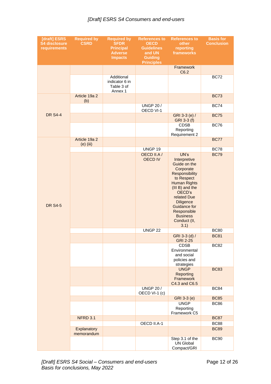#### *[Draft] ESRS S4 Consumers and end-users*

| [draft] ESRS<br><b>S4 disclosure</b><br>requirements | <b>Required by</b><br><b>CSRD</b> | <b>Required by</b><br><b>SFDR</b><br><b>Principal</b><br><b>Adverse</b><br><b>Impacts</b> | <b>References to</b><br><b>OECD</b><br><b>Guidelines</b><br>and UN<br><b>Guiding</b><br><b>Principles</b> | <b>References to</b><br>other<br>reporting<br>frameworks                                                                                                                                                                                                                                              | <b>Basis for</b><br><b>Conclusion</b>                    |
|------------------------------------------------------|-----------------------------------|-------------------------------------------------------------------------------------------|-----------------------------------------------------------------------------------------------------------|-------------------------------------------------------------------------------------------------------------------------------------------------------------------------------------------------------------------------------------------------------------------------------------------------------|----------------------------------------------------------|
|                                                      |                                   |                                                                                           |                                                                                                           | Framework<br>C6.2                                                                                                                                                                                                                                                                                     |                                                          |
|                                                      |                                   | Additional<br>indicator 6 in<br>Table 3 of<br>Annex 1                                     |                                                                                                           |                                                                                                                                                                                                                                                                                                       | <b>BC72</b>                                              |
|                                                      | Article 19a 2<br>(b)              |                                                                                           |                                                                                                           |                                                                                                                                                                                                                                                                                                       | <b>BC73</b>                                              |
|                                                      |                                   |                                                                                           | <b>UNGP 20 /</b><br>OECD VI-1                                                                             |                                                                                                                                                                                                                                                                                                       | <b>BC74</b>                                              |
| <b>DR S4-4</b>                                       |                                   |                                                                                           |                                                                                                           | GRI 3-3 (e) /<br>GRI 3-3 (f)                                                                                                                                                                                                                                                                          | <b>BC75</b>                                              |
|                                                      |                                   |                                                                                           |                                                                                                           | <b>CDSB</b><br>Reporting<br>Requirement 2                                                                                                                                                                                                                                                             | <b>BC76</b>                                              |
|                                                      | Article 19a 2<br>$(e)$ (iii)      |                                                                                           |                                                                                                           |                                                                                                                                                                                                                                                                                                       | <b>BC77</b>                                              |
|                                                      |                                   |                                                                                           | UNGP 19                                                                                                   |                                                                                                                                                                                                                                                                                                       | <b>BC78</b>                                              |
| <b>DR S4-5</b>                                       |                                   |                                                                                           | OECD II.A /<br><b>OECD IV</b><br>UNGP <sub>22</sub>                                                       | UN's<br>Interpretive<br>Guide on the<br>Corporate<br>Responsibility<br>to Respect<br><b>Human Rights</b><br>(III B) and the<br>OECD's<br>related Due<br><b>Diligence</b><br><b>Guidance for</b><br>Responsible<br><b>Business</b><br>Conduct (II,<br>3.1)<br>GRI 3-3 (d) /<br>GRI 2-25<br><b>CDSB</b> | <b>BC79</b><br><b>BC80</b><br><b>BC81</b><br><b>BC82</b> |
|                                                      |                                   |                                                                                           |                                                                                                           | Environmental<br>and social<br>policies and<br>strategies                                                                                                                                                                                                                                             |                                                          |
|                                                      |                                   |                                                                                           |                                                                                                           | <b>UNGP</b><br>Reporting<br>Framework<br>C4.3 and C6.5                                                                                                                                                                                                                                                | <b>BC83</b>                                              |
|                                                      |                                   |                                                                                           | <b>UNGP 20 /</b><br>OECD VI-1 (c)                                                                         |                                                                                                                                                                                                                                                                                                       | <b>BC84</b>                                              |
|                                                      |                                   |                                                                                           |                                                                                                           | GRI 3-3 (e)                                                                                                                                                                                                                                                                                           | <b>BC85</b>                                              |
|                                                      |                                   |                                                                                           |                                                                                                           | <b>UNGP</b><br>Reporting<br>Framework C5                                                                                                                                                                                                                                                              | <b>BC86</b>                                              |
|                                                      | NFRD 3.1                          |                                                                                           |                                                                                                           |                                                                                                                                                                                                                                                                                                       | <b>BC87</b>                                              |
|                                                      |                                   |                                                                                           | OECD II.A-1                                                                                               |                                                                                                                                                                                                                                                                                                       | <b>BC88</b>                                              |
|                                                      | Explanatory<br>memorandum         |                                                                                           |                                                                                                           |                                                                                                                                                                                                                                                                                                       | <b>BC89</b>                                              |
|                                                      |                                   |                                                                                           |                                                                                                           | Step 3.1 of the<br><b>UN Global</b><br>Compact/GRI                                                                                                                                                                                                                                                    | <b>BC90</b>                                              |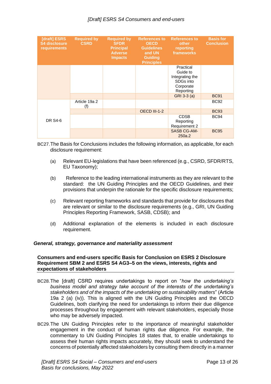#### *[Draft] ESRS S4 Consumers and end-users*

| [draft] ESRS<br><b>S4 disclosure</b><br>requirements | <b>Required by</b><br><b>CSRD</b> | <b>Required by</b><br><b>SFDR</b><br><b>Principal</b><br><b>Adverse</b><br><b>Impacts</b> | <b>References to</b><br><b>OECD</b><br><b>Guidelines</b><br>and UN<br><b>Guiding</b><br><b>Principles</b> | <b>References to</b><br>other<br>reporting<br>frameworks                        | <b>Basis for</b><br><b>Conclusion</b> |
|------------------------------------------------------|-----------------------------------|-------------------------------------------------------------------------------------------|-----------------------------------------------------------------------------------------------------------|---------------------------------------------------------------------------------|---------------------------------------|
|                                                      |                                   |                                                                                           |                                                                                                           | Practical<br>Guide to<br>Integrating the<br>SDGs into<br>Corporate<br>Reporting |                                       |
|                                                      |                                   |                                                                                           |                                                                                                           | GRI 3-3 (a)                                                                     | <b>BC91</b>                           |
| DR S4-6                                              | Article 19a 2<br>(f)              |                                                                                           |                                                                                                           |                                                                                 | <b>BC92</b>                           |
|                                                      |                                   |                                                                                           | OECD III-1-2                                                                                              |                                                                                 | <b>BC93</b>                           |
|                                                      |                                   |                                                                                           |                                                                                                           | <b>CDSB</b><br>Reporting<br>Requirement 2                                       | <b>BC94</b>                           |
|                                                      |                                   |                                                                                           |                                                                                                           | <b>SASB CG-AM-</b><br>250a.2                                                    | <b>BC95</b>                           |

BC27.The Basis for Conclusions includes the following information, as applicable, for each disclosure requirement:

- (a) Relevant EU-legislations that have been referenced (e.g., CSRD, SFDR/RTS, EU Taxonomy);
- (b) Reference to the leading international instruments as they are relevant to the standard: the UN Guiding Principles and the OECD Guidelines, and their provisions that underpin the rationale for the specific disclosure requirements;
- (c) Relevant reporting frameworks and standards that provide for disclosures that are relevant or similar to the disclosure requirements (e.g., GRI, UN Guiding Principles Reporting Framework, SASB, CDSB); and
- (d) Additional explanation of the elements is included in each disclosure requirement.

#### <span id="page-12-0"></span>*General, strategy, governance and materiality assessment*

#### <span id="page-12-1"></span>**Consumers and end-users specific Basis for Conclusion on ESRS 2 Disclosure Requirement SBM 2 and ESRS S4 AG3–5 on the views, interests, rights and expectations of stakeholders**

- BC28.The [draft] CSRD requires undertakings to report on "*how the undertaking's business model and strategy take account of the interests of the undertaking's stakeholders and of the impacts of the undertaking on sustainability matters*" (Article 19a 2 (a) (iv)). This is aligned with the UN Guiding Principles and the OECD Guidelines, both clarifying the need for undertakings to inform their due diligence processes throughout by engagement with relevant stakeholders, especially those who may be adversely impacted.
- BC29.The UN Guiding Principles refer to the importance of meaningful stakeholder engagement in the conduct of human rights due diligence. For example, the commentary to UN Guiding Principles 18 states that, to enable undertakings to assess their human rights impacts accurately, they should seek to understand the concerns of potentially affected stakeholders by consulting them directly in a manner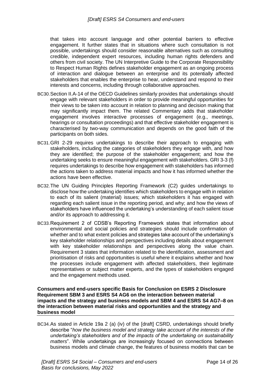that takes into account language and other potential barriers to effective engagement. It further states that in situations where such consultation is not possible, undertakings should consider reasonable alternatives such as consulting credible, independent expert resources, including human rights defenders and others from civil society. The UN Interpretive Guide to the Corporate Responsibility to Respect Human Rights defines stakeholder engagement as an ongoing process of interaction and dialogue between an enterprise and its potentially affected stakeholders that enables the enterprise to hear, understand and respond to their interests and concerns, including through collaborative approaches.

- BC30.Section II.A-14 of the OECD Guidelines similarly provides that undertakings should engage with relevant stakeholders in order to provide meaningful opportunities for their views to be taken into account in relation to planning and decision making that may significantly impact them. The related Commentary adds that stakeholder engagement involves interactive processes of engagement (e.g., meetings, hearings or consultation proceedings) and that effective stakeholder engagement is characterised by two-way communication and depends on the good faith of the participants on both sides.
- BC31.GRI 2-29 requires undertakings to describe their approach to engaging with stakeholders, including the categories of stakeholders they engage with, and how they are identified; the purpose of the stakeholder engagement; and how the undertaking seeks to ensure meaningful engagement with stakeholders. GRI 3-3 (f) requires undertakings to describe how engagement with stakeholders has informed the actions taken to address material impacts and how it has informed whether the actions have been effective.
- BC32.The UN Guiding Principles Reporting Framework (C2) guides undertakings to disclose how the undertaking identifies which stakeholders to engage with in relation to each of its salient (material) issues; which stakeholders it has engaged with regarding each salient issue in the reporting period, and why; and how the views of stakeholders have influenced the undertaking's understanding of each salient issue and/or its approach to addressing it.
- BC33.Requirement 2 of CDSB's Reporting Framework states that information about environmental and social policies and strategies should include confirmation of whether and to what extent policies and strategies take account of the undertaking's key stakeholder relationships and perspectives including details about engagement with key stakeholder relationships and perspectives along the value chain. Requirement 3 states that information related to the identification, assessment and prioritisation of risks and opportunities is useful where it explains whether and how the processes include engagement with affected stakeholders, their legitimate representatives or subject matter experts, and the types of stakeholders engaged and the engagement methods used.

<span id="page-13-0"></span>**Consumers and end-users specific Basis for Conclusion on ESRS 2 Disclosure Requirement SBM 3 and ESRS S4 AG6 on the interaction between material impacts and the strategy and business models and SBM 4 and ESRS S4 AG7–8 on the interaction between material risks and opportunities and the strategy and business model**

BC34.As stated in Article 19a 2 (a) (iv) of the [draft] CSRD, undertakings should briefly describe "*how the business model and strategy take account of the interests of the undertaking's stakeholders and of the impacts of the undertaking on sustainability matters*". While undertakings are increasingly focused on connections between business models and climate change, the features of business models that can be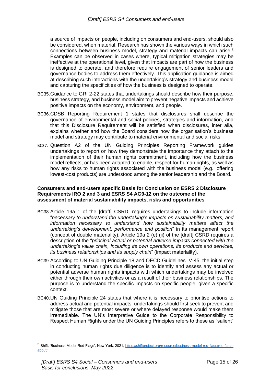a source of impacts on people, including on consumers and end-users, should also be considered, when material. Research has shown the various ways in which such connections between business model, strategy and material impacts can arise.<sup>2</sup> Examples can be observed in cases where, typical mitigation strategies may be ineffective at the operational level, given that impacts are part of how the business is designed to operate, and therefore require engagement of senior leaders and governance bodies to address them effectively. This application guidance is aimed at describing such interactions with the undertaking's strategy and business model and capturing the specificities of how the business is designed to operate.

- BC35.Guidance to GRI 2-22 states that undertakings should describe how their purpose, business strategy, and business model aim to prevent negative impacts and achieve positive impacts on the economy, environment, and people.
- BC36.CDSB Reporting Requirement 1 states that disclosures shall describe the governance of environmental and social policies, strategies and information, and that this Disclosure Requirement will be satisfied when disclosures, inter alia, explains whether and how the Board considers how the organisation's business model and strategy may contribute to material environmental and social risks.
- BC37. Question A2 of the UN Guiding Principles Reporting Framework guides undertakings to report on how they demonstrate the importance they attach to the implementation of their human rights commitment, including how the business model reflects, or has been adapted to enable, respect for human rights, as well as how any risks to human rights associated with the business model (e.g., offering lowest-cost products) are understood among the senior leadership and the Board.

#### <span id="page-14-0"></span>**Consumers and end-users specific Basis for Conclusion on ESRS 2 Disclosure Requirements IRO 2 and 3 and ESRS S4 AG9-12 on the outcome of the assessment of material sustainability impacts, risks and opportunities**

- BC38.Article 19a 1 of the [draft] CSRD, requires undertakings to include information "*necessary to understand the undertaking's impacts on sustainability matters, and information necessary to understand how sustainability matters affect the undertaking's development, performance and position*" in its management report (concept of double materiality). Article 19a 2 (e) (ii) of the [draft] CSRD requires a description of the "*principal actual or potential adverse impacts connected with the undertaking's value chain, including its own operations, its products and services, its business relationships and its supply chain*" (impact materiality).
- BC39.According to UN Guiding Principle 18 and OECD Guidelines IV-45, the initial step in conducting human rights due diligence is to identify and assess any actual or potential adverse human rights impacts with which undertakings may be involved either through their own activities or as a result of their business relationships. The purpose is to understand the specific impacts on specific people, given a specific context.
- BC40.UN Guiding Principle 24 states that where it is necessary to prioritise actions to address actual and potential impacts, undertakings should first seek to prevent and mitigate those that are most severe or where delayed response would make them irremediable. The UN's Interpretive Guide to the Corporate Responsibility to Respect Human Rights under the UN Guiding Principles refers to these as "salient"

<sup>&</sup>lt;sup>2</sup> Shift, 'Business Model Red Flags', New York, 2021, [https://shiftproject.org/resource/business-model-red-flags/red-flags](https://shiftproject.org/resource/business-model-red-flags/red-flags-about/)[about/](https://shiftproject.org/resource/business-model-red-flags/red-flags-about/)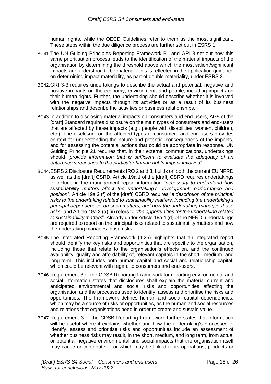human rights, while the OECD Guidelines refer to them as the most significant. These steps within the due diligence process are further set out in ESRS 1.

- BC41.The UN Guiding Principles Reporting Framework B1 and GRI 3 set out how this same prioritisation process leads to the identification of the material impacts of the organisation by determining the threshold above which the most salient/significant impacts are understood to be material. This is reflected in the application guidance on determining impact materiality, as part of double materiality, under ESRS 2.
- BC42.GRI 3-3 requires undertakings to describe the actual and potential, negative and positive impacts on the economy, environment, and people, including impacts on their human rights. Further, the undertaking should describe whether it is involved with the negative impacts through its activities or as a result of its business relationships and describe the activities or business relationships.
- BC43.In addition to disclosing material impacts on consumers and end-users, AG9 of the [draft] Standard requires disclosure on the main types of consumers and end-users that are affected by those impacts (e.g., people with disabilities, women, children, etc.). The disclosure on the affected types of consumers and end-users provides context for understanding the nature and potential consequences of the impacts, and for assessing the potential actions that could be appropriate in response. UN Guiding Principle 21 requires that, in their external communications, undertakings should "*provide information that is sufficient to evaluate the adequacy of an enterprise's response to the particular human rights impact involved*".
- BC44.ESRS 2 Disclosure Requirements IRO 2 and 3, builds on both the current EU NFRD as well as the [draft] CSRD. Article 19a 1 of the [draft] CSRD requires undertakings to include in the management report information "*necessary to understand how sustainability matters affect the undertaking's development, performance and position*". Article 19a 2 (f) of the [draft] CSRD requires "*a description of the principal risks to the undertaking related to sustainability matters, including the undertaking's principal dependencies on such matters, and how the undertaking manages those risks*" and Article 19a 2 (a) (ii) refers to "*the opportunities for the undertaking related to sustainability matters*". Already under Article 19a 1 (d) of the NFRD, undertakings are required to report on the principal risks related to sustainability matters and how the undertaking manages those risks.
- BC45.The Integrated Reporting Framework (4.25) highlights that an integrated report should identify the key risks and opportunities that are specific to the organisation, including those that relate to the organisation's effects on, and the continued availability, quality and affordability of, relevant capitals in the short-, medium- and long-term. This includes both human capital and social and relationship capital, which could be relevant with regard to consumers and end-users.
- BC46.Requirement 3 of the CDSB Reporting Framework for reporting environmental and social information states that disclosures shall explain the material current and anticipated environmental and social risks and opportunities affecting the organisation and the processes used to identify, assess and prioritise the risks and opportunities. The Framework defines human and social capital dependencies, which may be a source of risks or opportunities, as the human and social resources and relations that organisations need in order to create and sustain value.
- BC47.Requirement 3 of the CDSB Reporting Framework further states that information will be useful where it explains whether and how the undertaking's processes to identify, assess and prioritise risks and opportunities include an assessment of whether business risks may result, in the short, medium, and long term, from actual or potential negative environmental and social impacts that the organisation itself may cause or contribute to or which may be linked to its operations, products or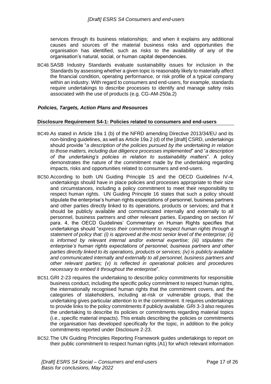services through its business relationships; and when it explains any additional causes and sources of the material business risks and opportunities the organisation has identified, such as risks to the availability of any of the organisation's natural, social, or human capital dependencies.

BC48.SASB Industry Standards evaluate sustainability issues for inclusion in the Standards by assessing whether a given topic is reasonably likely to materially affect the financial condition, operating performance, or risk profile of a typical company within an industry. With regard to consumers and end-users, for example, standards require undertakings to describe processes to identify and manage safety risks associated with the use of products (e.g. CG-AM-250a.2)

#### <span id="page-16-0"></span> *Policies, Targets, Action Plans and Resources*

#### <span id="page-16-1"></span>**Disclosure Requirement S4-1: Policies related to consumers and end-users**

- BC49.As stated in Article 19a 1 (b) of the NFRD amending Directive 2013/34/EU and its non-binding guidelines, as well as Article 19a 2 (d) of the [draft] CSRD, undertakings should provide "*a description of the policies pursued by the undertaking in relation to those matters, including due diligence processes implemented*" and "*a description of the undertaking's policies in relation to sustainability matters*". A policy demonstrates the nature of the commitment made by the undertaking regarding impacts, risks and opportunities related to consumers and end-users.
- BC50.According to both UN Guiding Principle 15 and the OECD Guidelines IV-4, undertakings should have in place policies and processes appropriate to their size and circumstances, including a policy commitment to meet their responsibility to respect human rights. UN Guiding Principle 16 states that such a policy should stipulate the enterprise's human rights expectations of personnel, business partners and other parties directly linked to its operations, products or services; and that it should be publicly available and communicated internally and externally to all personnel, business partners and other relevant parties. Expanding on section IV para. 4, the OECD Guidelines' Commentary on Human Rights specifies that undertakings should "*express their commitment to respect human rights through a statement of policy that: (i) is approved at the most senior level of the enterprise; (ii) is informed by relevant internal and/or external expertise; (iii) stipulates the enterprise's human rights expectations of personnel, business partners and other parties directly linked to its operations, products or services; (iv) is publicly available and communicated internally and externally to all personnel, business partners and other relevant parties; (v) is reflected in operational policies and procedures necessary to embed it throughout the enterprise*".
- BC51.GRI 2-23 requires the undertaking to describe policy commitments for responsible business conduct, including the specific policy commitment to respect human rights, the internationally recognised human rights that the commitment covers, and the categories of stakeholders, including at-risk or vulnerable groups, that the undertaking gives particular attention to in the commitment. It requires undertakings to provide links to the policy commitments if publicly available. GRI 3-3 also requires the undertaking to describe its policies or commitments regarding material topics (i.e., specific material impacts). This entails describing the policies or commitments the organisation has developed specifically for the topic, in addition to the policy commitments reported under Disclosure 2-23.
- BC52.The UN Guiding Principles Reporting Framework guides undertakings to report on their public commitment to respect human rights (A1) for which relevant information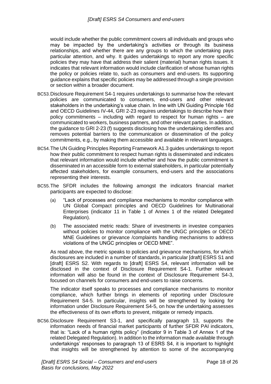would include whether the public commitment covers all individuals and groups who may be impacted by the undertaking's activities or through its business relationships, and whether there are any groups to which the undertaking pays particular attention, and why. It guides undertakings to report any more specific policies they may have that address their salient (material) human rights issues. It indicates that relevant information would include clarification of whose human rights the policy or policies relate to, such as consumers and end-users. Its supporting guidance explains that specific policies may be addressed through a single provision or section within a broader document.

- BC53.Disclosure Requirement S4-1 requires undertakings to summarise how the relevant policies are communicated to consumers, end-users and other relevant stakeholders in the undertaking's value chain. In line with UN Guiding Principle 16d and OECD Guidelines IV-44, GRI 2-23 requires undertakings to describe how their policy commitments – including with regard to respect for human rights – are communicated to workers, business partners, and other relevant parties. In addition, the guidance to GRI 2-23 (f) suggests disclosing how the undertaking identifies and removes potential barriers to the communication or dissemination of the policy commitments, e.g., by making them accessible and available in relevant languages.
- BC54.The UN Guiding Principles Reporting Framework A1.3 guides undertakings to report how their public commitment to respect human rights is disseminated and indicates that relevant information would include whether and how the public commitment is disseminated in an accessible form to external stakeholders, in particular potentially affected stakeholders, for example consumers, end-users and the associations representing their interests.
- BC55.The SFDR includes the following amongst the indicators financial market participants are expected to disclose:
	- (a) "Lack of processes and compliance mechanisms to monitor compliance with UN Global Compact principles and OECD Guidelines for Multinational Enterprises (indicator 11 in Table 1 of Annex 1 of the related Delegated Regulation).
	- (b) The associated metric reads: Share of investments in investee companies without policies to monitor compliance with the UNGC principles or OECD MNE Guidelines or grievance /complaints handling mechanisms to address violations of the UNGC principles or OECD MNE".

As read above, the metric speaks to policies and grievance mechanisms, for which disclosures are included in a number of standards, in particular [draft] ESRS S1 and [draft] ESRS S2. With regards to [draft] ESRS S4, relevant information will be disclosed in the context of Disclosure Requirement S4-1. Further relevant information will also be found in the context of Disclosure Requirement S4-3, focused on channels for consumers and end-users to raise concerns.

The indicator itself speaks to processes and compliance mechanisms to monitor compliance, which further brings in elements of reporting under Disclosure Requirement S4-5. In particular, insights will be strengthened by looking for information under Disclosure Requirement S4-5, on how the undertaking assesses the effectiveness of its own efforts to prevent, mitigate or remedy impacts.

BC56.Disclosure Requirement S3-1, and specifically paragraph 13, supports the information needs of financial market participants of further SFDR PAI indicators, that is: "Lack of a human rights policy" (indicator 9 in Table 3 of Annex 1 of the related Delegated Regulation). In addition to the information made available through undertakings' responses to paragraph 13 of ESRS S4, it is important to highlight that insights will be strengthened by attention to some of the accompanying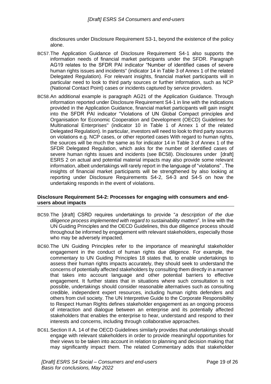disclosures under Disclosure Requirement S3-1, beyond the existence of the policy alone.

- BC57.The Application Guidance of Disclosure Requirement S4-1 also supports the information needs of financial market participants under the SFDR. Paragraph AG19 relates to the SFDR PAI indicator "Number of identified cases of severe human rights issues and incidents'' (indicator 14 in Table 3 of Annex 1 of the related Delegated Regulation). For relevant insights, financial market participants will in particular need to look to third party sources or further information, such as NCP (National Contact Point) cases or incidents captured by service providers.
- BC58.An additional example is paragraph AG21 of the Application Guidance. Through information reported under Disclosure Requirement S4-1 in line with the indications provided in the Application Guidance, financial market participants will gain insight into the SFDR PAI indicator "Violations of UN Global Compact principles and Organisation for Economic Cooperation and Development (OECD) Guidelines for Multinational Enterprises'' (indicator 10 in Table 1 of Annex 1 of the related Delegated Regulation). In particular, investors will need to look to third party sources on violations e.g. NCP cases, or other reported cases With regard to human rights, the sources will be much the same as for indicator 14 in Table 3 of Annex 1 of the SFDR Delegated Regulation, which asks for the number of identified cases of severe human rights issues and incidents (see BC58). Disclosures under [draft] ESRS 2 on actual and potential material impacts may also provide some relevant information, albeit undertakings will rarely report in the language of "violations" . The insights of financial market participants will be strengthened by also looking at reporting under Disclosure Requirements S4-2, S4-3 and S4-5 on how the undertaking responds in the event of violations.

#### <span id="page-18-0"></span>**Disclosure Requirement S4-2: Processes for engaging with consumers and endusers about impacts**

- BC59.The [draft] CSRD requires undertakings to provide "*a description of the due diligence process implemented with regard to sustainability matters*". In line with the UN Guiding Principles and the OECD Guidelines, this due diligence process should throughout be informed by engagement with relevant stakeholders, especially those who may be adversely impacted.
- BC60.The UN Guiding Principles refer to the importance of meaningful stakeholder engagement in the conduct of human rights due diligence. For example, the commentary to UN Guiding Principles 18 states that, to enable undertakings to assess their human rights impacts accurately, they should seek to understand the concerns of potentially affected stakeholders by consulting them directly in a manner that takes into account language and other potential barriers to effective engagement. It further states that in situations where such consultation is not possible, undertakings should consider reasonable alternatives such as consulting credible, independent expert resources, including human rights defenders and others from civil society. The UN Interpretive Guide to the Corporate Responsibility to Respect Human Rights defines stakeholder engagement as an ongoing process of interaction and dialogue between an enterprise and its potentially affected stakeholders that enables the enterprise to hear, understand and respond to their interests and concerns, including through collaborative approaches.
- BC61.Section II A. 14 of the OECD Guidelines similarly provides that undertakings should engage with relevant stakeholders in order to provide meaningful opportunities for their views to be taken into account in relation to planning and decision making that may significantly impact them. The related Commentary adds that stakeholder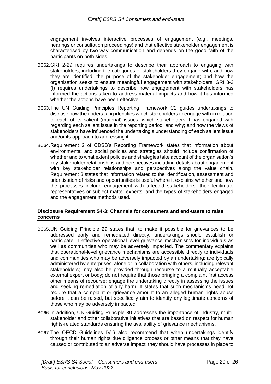engagement involves interactive processes of engagement (e.g., meetings, hearings or consultation proceedings) and that effective stakeholder engagement is characterised by two-way communication and depends on the good faith of the participants on both sides.

- BC62.GRI 2-29 requires undertakings to describe their approach to engaging with stakeholders, including the categories of stakeholders they engage with, and how they are identified; the purpose of the stakeholder engagement; and how the organisation seeks to ensure meaningful engagement with stakeholders. GRI 3-3 (f) requires undertakings to describe how engagement with stakeholders has informed the actions taken to address material impacts and how it has informed whether the actions have been effective.
- BC63.The UN Guiding Principles Reporting Framework C2 guides undertakings to disclose how the undertaking identifies which stakeholders to engage with in relation to each of its salient (material) issues; which stakeholders it has engaged with regarding each salient issue in the reporting period, and why; and how the views of stakeholders have influenced the undertaking's understanding of each salient issue and/or its approach to addressing it.
- BC64.Requirement 2 of CDSB's Reporting Framework states that information about environmental and social policies and strategies should include confirmation of whether and to what extent policies and strategies take account of the organisation's key stakeholder relationships and perspectives including details about engagement with key stakeholder relationships and perspectives along the value chain. Requirement 3 states that information related to the identification, assessment and prioritisation of risks and opportunities is useful where it explains whether and how the processes include engagement with affected stakeholders, their legitimate representatives or subject matter experts, and the types of stakeholders engaged and the engagement methods used.

#### <span id="page-19-0"></span>**Disclosure Requirement S4-3: Channels for consumers and end-users to raise concerns**

- BC65.UN Guiding Principle 29 states that, to make it possible for grievances to be addressed early and remediated directly, undertakings should establish or participate in effective operational-level grievance mechanisms for individuals as well as communities who may be adversely impacted. The commentary explains that operational-level grievance mechanisms are accessible directly to individuals and communities who may be adversely impacted by an undertaking; are typically administered by enterprises, alone or in collaboration with others, including relevant stakeholders; may also be provided through recourse to a mutually acceptable external expert or body; do not require that those bringing a complaint first access other means of recourse; engage the undertaking directly in assessing the issues and seeking remediation of any harm. It states that such mechanisms need not require that a complaint or grievance amount to an alleged human rights abuse before it can be raised, but specifically aim to identify any legitimate concerns of those who may be adversely impacted.
- BC66.In addition, UN Guiding Principle 30 addresses the importance of industry, multistakeholder and other collaborative initiatives that are based on respect for human rights-related standards ensuring the availability of grievance mechanisms.
- BC67.The OECD Guidelines IV-6 also recommend that when undertakings identify through their human rights due diligence process or other means that they have caused or contributed to an adverse impact, they should have processes in place to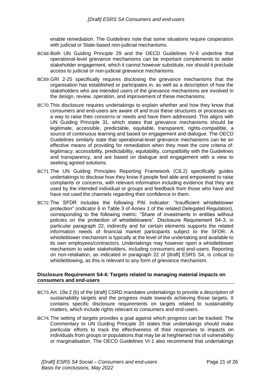enable remediation. The Guidelines note that some situations require cooperation with judicial or State-based non-judicial mechanisms.

- BC68.Both UN Guiding Principle 29 and the OECD Guidelines IV-6 underline that operational-level grievance mechanisms can be important complements to wider stakeholder engagement, which it cannot however substitute, nor should it preclude access to judicial or non-judicial grievance mechanisms.
- BC69.GRI 2-25 specifically requires disclosing the grievance mechanisms that the organisation has established or participates in, as well as a description of how the stakeholders who are intended users of the grievance mechanisms are involved in the design, review, operation, and improvement of these mechanisms.
- BC70.This disclosure requires undertakings to explain whether and how they know that consumers and end-users are aware of and trust these structures or processes as a way to raise their concerns or needs and have them addressed. This aligns with UN Guiding Principle 31, which states that grievance mechanisms should be legitimate, accessible, predictable, equitable, transparent, rights-compatible, a source of continuous learning and based on engagement and dialogue. The OECD Guidelines similarly state that operational-level grievance mechanisms can be an effective means of providing for remediation when they meet the core criteria of: legitimacy, accessibility, predictability, equitability, compatibility with the Guidelines and transparency, and are based on dialogue and engagement with a view to seeking agreed solutions.
- BC71.The UN Guiding Principles Reporting Framework (C6.2) specifically guides undertakings to disclose how they know if people feel able and empowered to raise complaints or concerns, with relevant information including evidence that they are used by the intended individual or groups and feedback from those who have and have not used the channels regarding their confidence in them.
- BC72.The SFDR includes the following PAI indicator: "Insufficient whistleblower protection" (indicator 6 in Table 3 of Annex 1 of the related Delegated Regulation), corresponding to the following metric: "Share of investments in entities without policies on the protection of whistleblowers". Disclosure Requirement S4-3, in particular paragraph 22, indirectly and for certain elements supports the related information needs of financial market participants subject to the SFDR. A whistleblower mechanism is typically at the level of the undertaking and available to its own employees/contractors. Undertakings may however open a whistleblower mechanism to wider stakeholders, including consumers and end-users. Reporting on non-retaliation, as indicated in paragraph 22 of [draft] ESRS S4, is critical to whistleblowing, as this is relevant to any form of grievance mechanism.

#### <span id="page-20-0"></span>**Disclosure Requirement S4-4: Targets related to managing material impacts on consumers and end-users**

- BC73.Art. 19a 2 (b) of the [draft] CSRD mandates undertakings to provide a description of sustainability targets and the progress made towards achieving those targets. It contains specific disclosure requirements on targets related to sustainability matters, which include rights relevant to consumers and end-users.
- BC74.The setting of targets provides a goal against which progress can be tracked. The Commentary to UN Guiding Principle 20 states that undertakings should make particular efforts to track the effectiveness of their responses to impacts on individuals from groups or populations that may be at heightened risk of vulnerability or marginalisation. The OECD Guidelines VI-1 also recommend that undertakings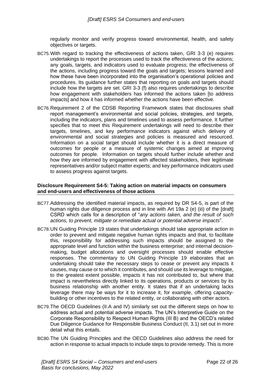regularly monitor and verify progress toward environmental, health, and safety objectives or targets.

- BC75.With regard to tracking the effectiveness of actions taken, GRI 3-3 (e) requires undertakings to report the processes used to track the effectiveness of the actions; any goals, targets, and indicators used to evaluate progress; the effectiveness of the actions, including progress toward the goals and targets; lessons learned and how these have been incorporated into the organisation's operational policies and procedures. Its guidance further states that reporting on goals and targets should include how the targets are set. GRI 3-3 (f) also requires undertakings to describe how engagement with stakeholders has informed the actions taken [to address impacts] and how it has informed whether the actions have been effective.
- BC76.Requirement 2 of the CDSB Reporting Framework states that disclosures shall report management's environmental and social policies, strategies, and targets, including the indicators, plans and timelines used to assess performance. It further specifies that to meet this Requirement undertakings will need to describe their targets, timelines, and key performance indicators against which delivery of environmental and social strategies and policies is measured and resourced. Information on a social target should include whether it is a direct measure of outcomes for people or a measure of systemic changes aimed at improving outcomes for people. Information on targets should further include whether and how they are informed by engagement with affected stakeholders, their legitimate representatives and/or subject matter experts; and key performance indicators used to assess progress against targets.

#### <span id="page-21-0"></span>**Disclosure Requirement S4-5: Taking action on material impacts on consumers and end-users and effectiveness of those actions**

- BC77.Addressing the identified material impacts, as required by DR S4-5, is part of the human rights due diligence process and in line with Art 19a 2 (e) (iii) of the [draft] CSRD which calls for a description of "*any actions taken, and the result of such actions, to prevent, mitigate or remediate actual or potential adverse impacts*".
- BC78.UN Guiding Principle 19 states that undertakings should take appropriate action in order to prevent and mitigate negative human rights impacts and that, to facilitate this, responsibility for addressing such impacts should be assigned to the appropriate level and function within the business enterprise; and internal decisionmaking, budget allocations and oversight processes should enable effective responses. The commentary to UN Guiding Principle 19 elaborates that an undertaking should take the necessary steps to cease or prevent any impacts it causes, may cause or to which it contributes, and should use its leverage to mitigate, to the greatest extent possible, impacts it has not contributed to, but where that impact is nevertheless directly linked to its operations, products or services by its business relationship with another entity. It states that if an undertaking lacks leverage there may be ways for it to increase it, for example, offering capacitybuilding or other incentives to the related entity, or collaborating with other actors.
- BC79.The OECD Guidelines (II.A and IV) similarly set out the different steps on how to address actual and potential adverse impacts. The UN's Interpretive Guide on the Corporate Responsibility to Respect Human Rights (III B) and the OECD's related Due Diligence Guidance for Responsible Business Conduct (II, 3.1) set out in more detail what this entails.
- BC80.The UN Guiding Principles and the OECD Guidelines also address the need for action in response to actual impacts to include steps to provide remedy. This is more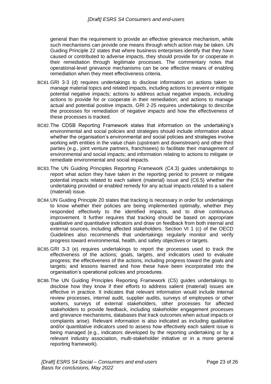general than the requirement to provide an effective grievance mechanism, while such mechanisms can provide one means through which action may be taken. UN Guiding Principle 22 states that where business enterprises identify that they have caused or contributed to adverse impacts, they should provide for or cooperate in their remediation through legitimate processes. The commentary notes that operational-level grievance mechanisms can be one effective means of enabling remediation when they meet effectiveness criteria.

- BC81.GRI 3-3 (d) requires undertakings to disclose information on actions taken to manage material topics and related impacts, including actions to prevent or mitigate potential negative impacts; actions to address actual negative impacts, including actions to provide for or cooperate in their remediation; and actions to manage actual and potential positive impacts. GRI 2-25 requires undertakings to describe the processes for remediation of negative impacts and how the effectiveness of these processes is tracked.
- BC82.The CDSB Reporting Framework states that information on the undertaking's environmental and social policies and strategies should include information about whether the organisation's environmental and social policies and strategies involve working with entities in the value chain (upstream and downstream) and other third parties (e.g., joint venture partners, franchisees) to facilitate their management of environmental and social impacts; and information relating to actions to mitigate or remediate environmental and social impacts.
- BC83.The UN Guiding Principles Reporting Framework (C4.3) guides undertakings to report what action they have taken in the reporting period to prevent or mitigate potential impacts related to each salient (material) issue and (C6.5) whether the undertaking provided or enabled remedy for any actual impacts related to a salient (material) issue.
- BC84.UN Guiding Principle 20 states that tracking is necessary in order for undertakings to know whether their policies are being implemented optimally, whether they responded effectively to the identified impacts, and to drive continuous improvement. It further requires that tracking should be based on appropriate qualitative and quantitative indicators and draw on feedback from both internal and external sources, including affected stakeholders. Section VI 1 (c) of the OECD Guidelines also recommends that undertakings regularly monitor and verify progress toward environmental, health, and safety objectives or targets.
- BC85.GRI 3-3 (e) requires undertakings to report the processes used to track the effectiveness of the actions; goals, targets, and indicators used to evaluate progress; the effectiveness of the actions, including progress toward the goals and targets; and lessons learned and how these have been incorporated into the organisation's operational policies and procedures.
- BC86.The UN Guiding Principles Reporting Framework (C5) guides undertakings to disclose how they know if their efforts to address salient (material) issues are effective in practice. It indicates that relevant information would include internal review processes, internal audit, supplier audits, surveys of employees or other workers, surveys of external stakeholders, other processes for affected stakeholders to provide feedback, including stakeholder engagement processes and grievance mechanisms, databases that track outcomes when actual impacts or complaints arise). Relevant information is also indicated as including qualitative and/or quantitative indicators used to assess how effectively each salient issue is being managed (e.g., indicators developed by the reporting undertaking or by a relevant industry association, multi-stakeholder initiative or in a more general reporting framework).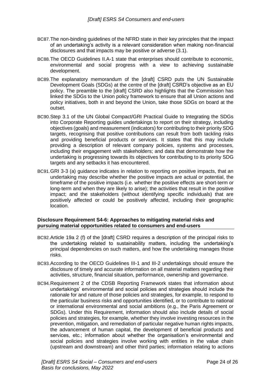- BC87.The non-binding guidelines of the NFRD state in their key principles that the impact of an undertaking's activity is a relevant consideration when making non-financial disclosures and that impacts may be positive or adverse (3.1).
- BC88.The OECD Guidelines II.A-1 state that enterprises should contribute to economic, environmental and social progress with a view to achieving sustainable development.
- BC89.The explanatory memorandum of the [draft] CSRD puts the UN Sustainable Development Goals (SDGs) at the centre of the [draft] CSRD's objective as an EU policy. The preamble to the [draft] CSRD also highlights that the Commission has linked the SDGs to the Union policy framework to ensure that all Union actions and policy initiatives, both in and beyond the Union, take those SDGs on board at the outset.
- BC90.Step 3.1 of the UN Global Compact/GRI Practical Guide to Integrating the SDGs into Corporate Reporting guides undertakings to report on their strategy, including objectives (goals) and measurement (indicators) for contributing to their priority SDG targets, recognising that positive contributions can result from both tackling risks and providing beneficial products or services. It states that this may include providing a description of relevant company policies, systems and processes, including their engagement with stakeholders; and data that demonstrate how the undertaking is progressing towards its objectives for contributing to its priority SDG targets and any setbacks it has encountered.
- BC91.GRI 3-3 (a) guidance indicates in relation to reporting on positive impacts, that an undertaking may describe whether the positive impacts are actual or potential, the timeframe of the positive impacts (i.e. whether the positive effects are short-term or long-term and when they are likely to arise); the activities that result in the positive impact; and the stakeholders (without identifying specific individuals) that are positively affected or could be positively affected, including their geographic location.

#### <span id="page-23-0"></span>**Disclosure Requirement S4-6: Approaches to mitigating material risks and pursuing material opportunities related to consumers and end-users**

- BC92.Article 19a 2 (f) of the [draft] CSRD requires a description of the principal risks to the undertaking related to sustainability matters, including the undertaking's principal dependencies on such matters, and how the undertaking manages those risks.
- BC93.According to the OECD Guidelines III-1 and III-2 undertakings should ensure the disclosure of timely and accurate information on all material matters regarding their activities, structure, financial situation, performance, ownership and governance.
- BC94.Requirement 2 of the CDSB Reporting Framework states that information about undertakings' environmental and social policies and strategies should include the rationale for and nature of those policies and strategies, for example, to respond to the particular business risks and opportunities identified, or to contribute to national or international environmental and social ambitions (e.g., the Paris Agreement or SDGs). Under this Requirement, information should also include details of social policies and strategies, for example, whether they involve investing resources in the prevention, mitigation, and remediation of particular negative human rights impacts, the advancement of human capital, the development of beneficial products and services, etc.; information about whether the organisation's environmental and social policies and strategies involve working with entities in the value chain (upstream and downstream) and other third parties; information relating to actions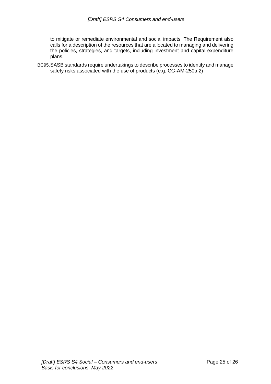to mitigate or remediate environmental and social impacts. The Requirement also calls for a description of the resources that are allocated to managing and delivering the policies, strategies, and targets, including investment and capital expenditure plans.

BC95.SASB standards require undertakings to describe processes to identify and manage safety risks associated with the use of products (e.g. CG-AM-250a.2)